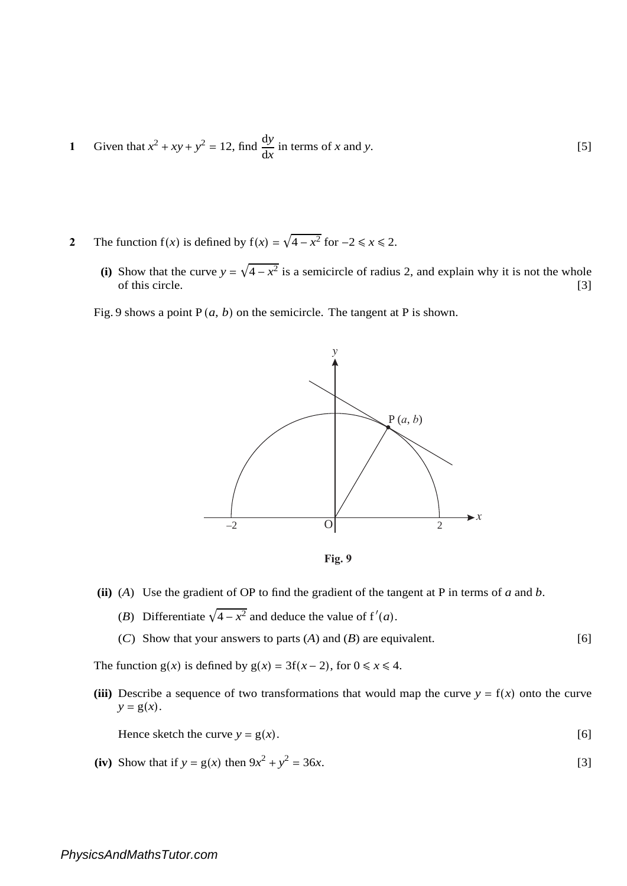- **1** Given that  $x^2 + xy + y^2 = 12$ , find  $\frac{dy}{dx}$  in terms of *x* and *y*. [5]
- **2** The function  $f(x)$  is defined by  $f(x) = \sqrt{4 x^2}$  for  $-2 \le x \le 2$ .
	- (i) Show that the curve  $y = \sqrt{4 x^2}$  is a semicircle of radius 2, and explain why it is not the whole of this circle. [3]

Fig. 9 shows a point  $P(a, b)$  on the semicircle. The tangent at P is shown.



**Fig. 9**

- **(ii)** (*A*) Use the gradient of OP to find the gradient of the tangent at P in terms of *a* and *b*.
	- (*B*) Differentiate  $\sqrt{4-x^2}$  and deduce the value of  $f'(a)$ .
	- (*C*) Show that your answers to parts (*A*) and (*B*) are equivalent.  $[6]$

The function  $g(x)$  is defined by  $g(x) = 3f(x-2)$ , for  $0 \le x \le 4$ .

(iii) Describe a sequence of two transformations that would map the curve  $y = f(x)$  onto the curve  $y = g(x)$ .

Hence sketch the curve  $y = g(x)$ . [6]

(iv) Show that if  $y = g(x)$  then  $9x^2 + y^2 = 36x$ . [3]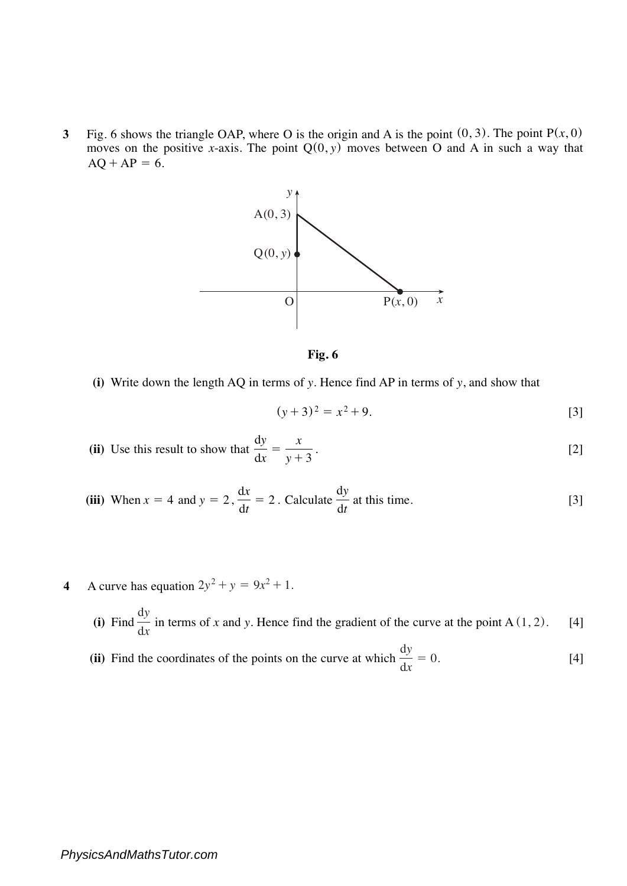**3** Fig. 6 shows the triangle OAP, where O is the origin and A is the point  $(0, 3)$ . The point  $P(x, 0)$ moves on the positive *x*-axis. The point  $Q(0, y)$  moves between O and A in such a way that  $AQ + AP = 6.$ 





**(i)** Write down the length AQ in terms of *y*. Hence find AP in terms of *y*, and show that

$$
(y+3)^2 = x^2 + 9.
$$
 [3]

(ii) Use this result to show that 
$$
\frac{dy}{dx} = \frac{x}{y+3}.
$$
 [2]

(iii) When 
$$
x = 4
$$
 and  $y = 2$ ,  $\frac{dx}{dt} = 2$ . Calculate  $\frac{dy}{dt}$  at this time. [3]

- **4** A curve has equation  $2y^2 + y = 9x^2 + 1$ .
	- (i) Find  $\frac{dy}{dx}$  in terms of *x* and *y*. Hence find the gradient of the curve at the point A (1, 2). [4] d*x*
	- **(ii)** Find the coordinates of the points on the curve at which  $\frac{1}{1} = 0$ . [4] d*y*  $\frac{dy}{dx} = 0.$